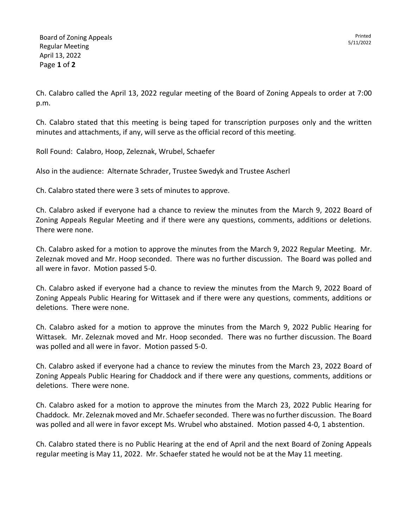Printed 5/11/2022

Ch. Calabro called the April 13, 2022 regular meeting of the Board of Zoning Appeals to order at 7:00 p.m.

Ch. Calabro stated that this meeting is being taped for transcription purposes only and the written minutes and attachments, if any, will serve as the official record of this meeting.

Roll Found: Calabro, Hoop, Zeleznak, Wrubel, Schaefer

Also in the audience: Alternate Schrader, Trustee Swedyk and Trustee Ascherl

Ch. Calabro stated there were 3 sets of minutes to approve.

Ch. Calabro asked if everyone had a chance to review the minutes from the March 9, 2022 Board of Zoning Appeals Regular Meeting and if there were any questions, comments, additions or deletions. There were none.

Ch. Calabro asked for a motion to approve the minutes from the March 9, 2022 Regular Meeting. Mr. Zeleznak moved and Mr. Hoop seconded. There was no further discussion. The Board was polled and all were in favor. Motion passed 5-0.

Ch. Calabro asked if everyone had a chance to review the minutes from the March 9, 2022 Board of Zoning Appeals Public Hearing for Wittasek and if there were any questions, comments, additions or deletions. There were none.

Ch. Calabro asked for a motion to approve the minutes from the March 9, 2022 Public Hearing for Wittasek. Mr. Zeleznak moved and Mr. Hoop seconded. There was no further discussion. The Board was polled and all were in favor. Motion passed 5-0.

Ch. Calabro asked if everyone had a chance to review the minutes from the March 23, 2022 Board of Zoning Appeals Public Hearing for Chaddock and if there were any questions, comments, additions or deletions. There were none.

Ch. Calabro asked for a motion to approve the minutes from the March 23, 2022 Public Hearing for Chaddock. Mr. Zeleznak moved and Mr. Schaefer seconded. There was no further discussion. The Board was polled and all were in favor except Ms. Wrubel who abstained. Motion passed 4-0, 1 abstention.

Ch. Calabro stated there is no Public Hearing at the end of April and the next Board of Zoning Appeals regular meeting is May 11, 2022. Mr. Schaefer stated he would not be at the May 11 meeting.